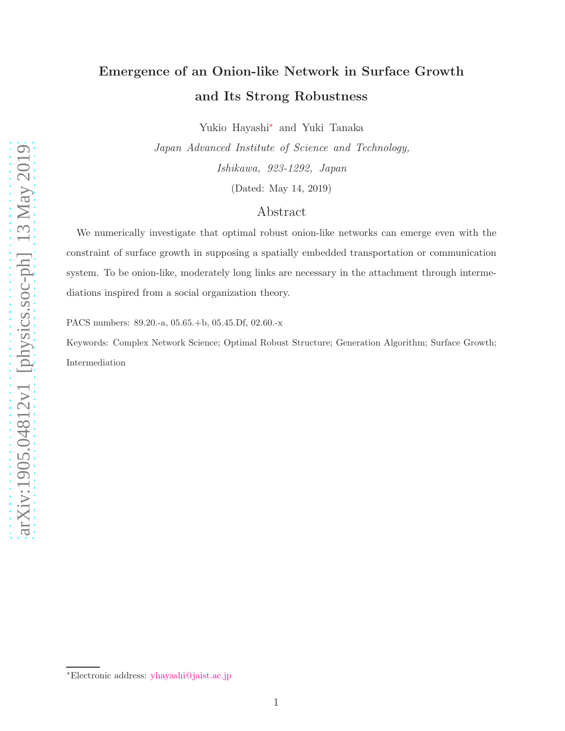# Emergence of an Onion-like Network in Surface Growth and Its Strong Robustness

Yukio Hayashi[∗](#page-0-0) and Yuki Tanaka

Japan Advanced Institute of Science and Technology, Ishikawa, 923-1292, Japan

(Dated: May 14, 2019)

## Abstract

We numerically investigate that optimal robust onion-like networks can emerge even with the constraint of surface growth in supposing a spatially embedded transportation or communication system. To be onion-like, moderately long links are necessary in the attachment through intermediations inspired from a social organization theory.

PACS numbers: 89.20.-a, 05.65.+b, 05.45.Df, 02.60.-x

Keywords: Complex Network Science; Optimal Robust Structure; Generation Algorithm; Surface Growth; Intermediation

<span id="page-0-0"></span><sup>∗</sup>Electronic address: [yhayashi@jaist.ac.jp](mailto:yhayashi@jaist.ac.jp)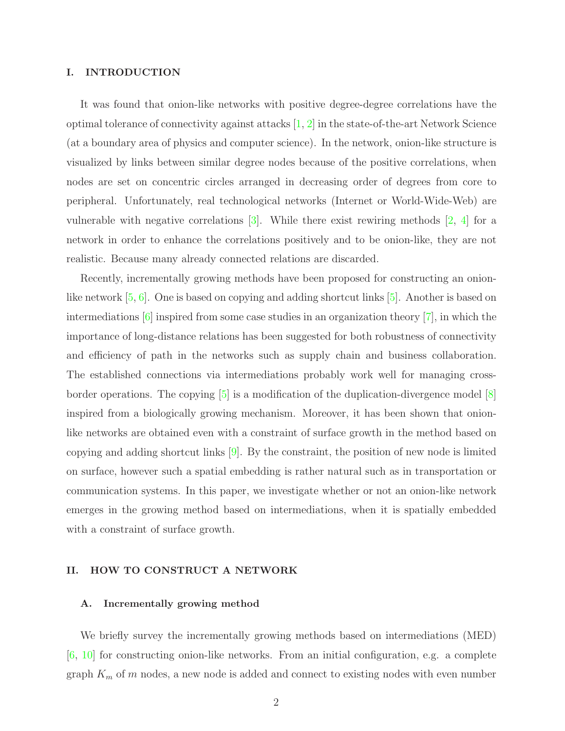## I. INTRODUCTION

It was found that onion-like networks with positive degree-degree correlations have the optimal tolerance of connectivity against attacks  $[1, 2]$  $[1, 2]$  in the state-of-the-art Network Science (at a boundary area of physics and computer science). In the network, onion-like structure is visualized by links between similar degree nodes because of the positive correlations, when nodes are set on concentric circles arranged in decreasing order of degrees from core to peripheral. Unfortunately, real technological networks (Internet or World-Wide-Web) are vulnerable with negative correlations  $\lbrack 3]$ . While there exist rewiring methods  $\lbrack 2, 4]$  $\lbrack 2, 4]$  $\lbrack 2, 4]$  for a network in order to enhance the correlations positively and to be onion-like, they are not realistic. Because many already connected relations are discarded.

Recently, incrementally growing methods have been proposed for constructing an onionlike network  $[5, 6]$  $[5, 6]$  $[5, 6]$ . One is based on copying and adding shortcut links  $[5]$ . Another is based on intermediations [\[6\]](#page-9-5) inspired from some case studies in an organization theory [\[7](#page-9-6)], in which the importance of long-distance relations has been suggested for both robustness of connectivity and efficiency of path in the networks such as supply chain and business collaboration. The established connections via intermediations probably work well for managing crossborder operations. The copying  $\lceil 5 \rceil$  is a modification of the duplication-divergence model  $\lceil 8 \rceil$ inspired from a biologically growing mechanism. Moreover, it has been shown that onionlike networks are obtained even with a constraint of surface growth in the method based on copying and adding shortcut links [\[9\]](#page-10-1). By the constraint, the position of new node is limited on surface, however such a spatial embedding is rather natural such as in transportation or communication systems. In this paper, we investigate whether or not an onion-like network emerges in the growing method based on intermediations, when it is spatially embedded with a constraint of surface growth.

## II. HOW TO CONSTRUCT A NETWORK

#### A. Incrementally growing method

We briefly survey the incrementally growing methods based on intermediations (MED) [\[6](#page-9-5), [10](#page-10-2)] for constructing onion-like networks. From an initial configuration, e.g. a complete graph  $K_m$  of m nodes, a new node is added and connect to existing nodes with even number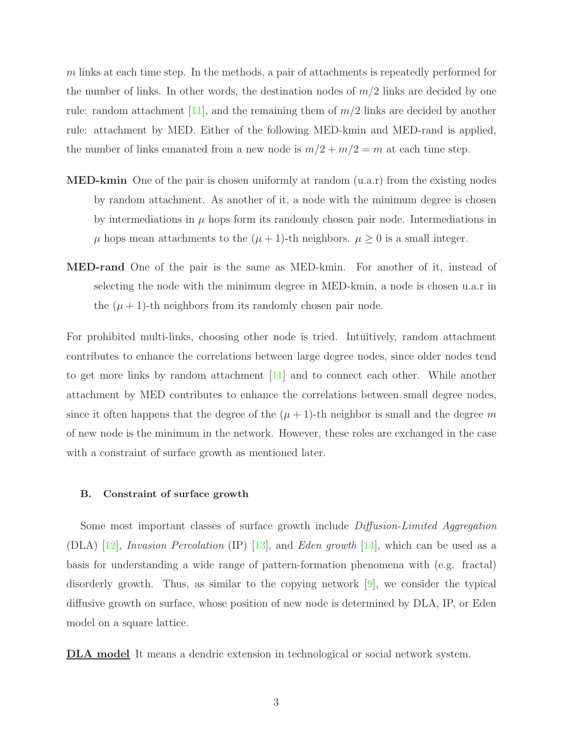m links at each time step. In the methods, a pair of attachments is repeatedly performed for the number of links. In other words, the destination nodes of  $m/2$  links are decided by one rule: random attachment [\[11](#page-10-3)], and the remaining them of  $m/2$  links are decided by another rule: attachment by MED. Either of the following MED-kmin and MED-rand is applied, the number of links emanated from a new node is  $m/2 + m/2 = m$  at each time step.

- **MED-kmin** One of the pair is chosen uniformly at random  $(u.a.r)$  from the existing nodes by random attachment. As another of it, a node with the minimum degree is chosen by intermediations in  $\mu$  hops form its randomly chosen pair node. Intermediations in  $\mu$  hops mean attachments to the  $(\mu + 1)$ -th neighbors.  $\mu \geq 0$  is a small integer.
- MED-rand One of the pair is the same as MED-kmin. For another of it, instead of selecting the node with the minimum degree in MED-kmin, a node is chosen u.a.r in the  $(\mu + 1)$ -th neighbors from its randomly chosen pair node.

For prohibited multi-links, choosing other node is tried. Intuitively, random attachment contributes to enhance the correlations between large degree nodes, since older nodes tend to get more links by random attachment [\[11](#page-10-3)] and to connect each other. While another attachment by MED contributes to enhance the correlations between small degree nodes, since it often happens that the degree of the  $(\mu + 1)$ -th neighbor is small and the degree m of new node is the minimum in the network. However, these roles are exchanged in the case with a constraint of surface growth as mentioned later.

#### B. Constraint of surface growth

Some most important classes of surface growth include Diffusion-Limited Aggregation (DLA) [\[12\]](#page-10-4), Invasion Percolation (IP) [\[13\]](#page-10-5), and Eden growth [\[14\]](#page-10-6), which can be used as a basis for understanding a wide range of pattern-formation phenomena with (e.g. fractal) disorderly growth. Thus, as similar to the copying network [\[9](#page-10-1)], we consider the typical diffusive growth on surface, whose position of new node is determined by DLA, IP, or Eden model on a square lattice.

DLA model It means a dendric extension in technological or social network system.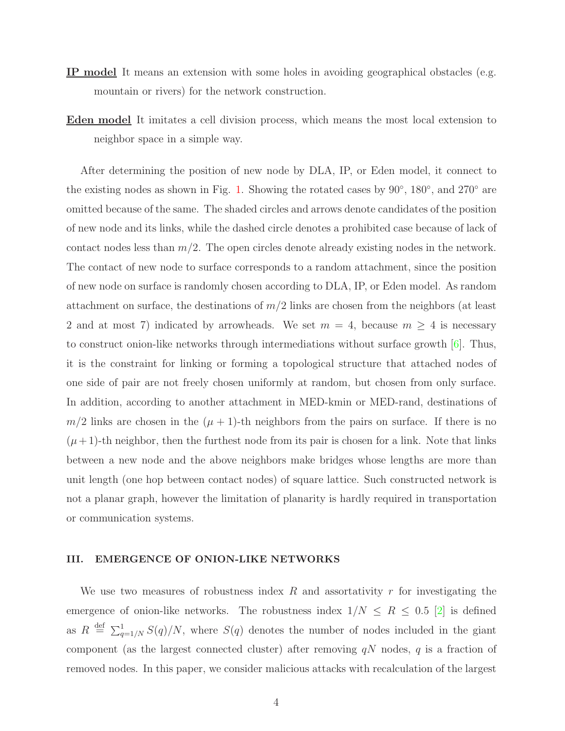- IP model It means an extension with some holes in avoiding geographical obstacles (e.g. mountain or rivers) for the network construction.
- Eden model It imitates a cell division process, which means the most local extension to neighbor space in a simple way.

After determining the position of new node by DLA, IP, or Eden model, it connect to the existing nodes as shown in Fig. [1.](#page-4-0) Showing the rotated cases by  $90^{\circ}$ ,  $180^{\circ}$ , and  $270^{\circ}$  are omitted because of the same. The shaded circles and arrows denote candidates of the position of new node and its links, while the dashed circle denotes a prohibited case because of lack of contact nodes less than  $m/2$ . The open circles denote already existing nodes in the network. The contact of new node to surface corresponds to a random attachment, since the position of new node on surface is randomly chosen according to DLA, IP, or Eden model. As random attachment on surface, the destinations of  $m/2$  links are chosen from the neighbors (at least 2 and at most 7) indicated by arrowheads. We set  $m = 4$ , because  $m \geq 4$  is necessary to construct onion-like networks through intermediations without surface growth [\[6\]](#page-9-5). Thus, it is the constraint for linking or forming a topological structure that attached nodes of one side of pair are not freely chosen uniformly at random, but chosen from only surface. In addition, according to another attachment in MED-kmin or MED-rand, destinations of  $m/2$  links are chosen in the  $(\mu + 1)$ -th neighbors from the pairs on surface. If there is no  $(\mu + 1)$ -th neighbor, then the furthest node from its pair is chosen for a link. Note that links between a new node and the above neighbors make bridges whose lengths are more than unit length (one hop between contact nodes) of square lattice. Such constructed network is not a planar graph, however the limitation of planarity is hardly required in transportation or communication systems.

### III. EMERGENCE OF ONION-LIKE NETWORKS

We use two measures of robustness index  $R$  and assortativity  $r$  for investigating the emergence of onion-like networks. The robustness index  $1/N \le R \le 0.5$  [\[2\]](#page-9-1) is defined as  $R \stackrel{\text{def}}{=} \sum_{q=1/N}^{1} S(q)/N$ , where  $S(q)$  denotes the number of nodes included in the giant component (as the largest connected cluster) after removing  $qN$  nodes, q is a fraction of removed nodes. In this paper, we consider malicious attacks with recalculation of the largest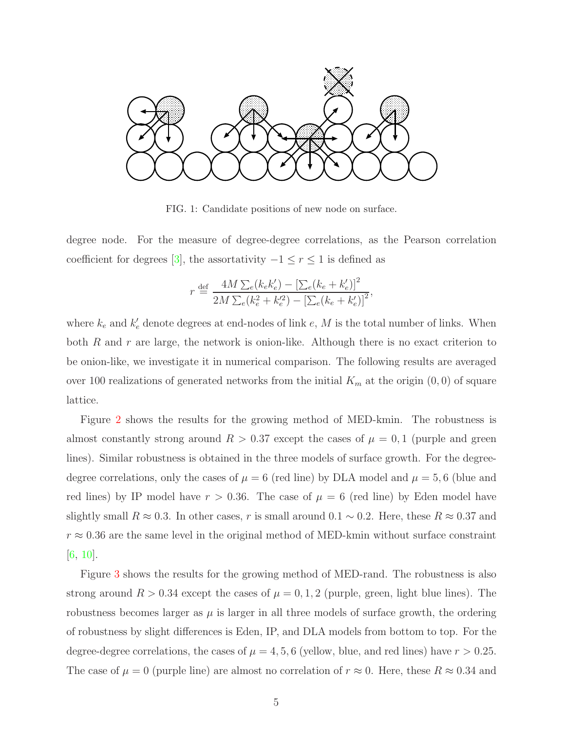

<span id="page-4-0"></span>FIG. 1: Candidate positions of new node on surface.

degree node. For the measure of degree-degree correlations, as the Pearson correlation coefficient for degrees [\[3\]](#page-9-2), the assortativity  $-1 \le r \le 1$  is defined as

$$
r \stackrel{\text{def}}{=} \frac{4M \sum_{e} (k_e k'_e) - \left[\sum_{e} (k_e + k'_e)\right]^2}{2M \sum_{e} (k_e^2 + k'^2_e) - \left[\sum_{e} (k_e + k'_e)\right]^2},
$$

where  $k_e$  and  $k'_e$  denote degrees at end-nodes of link e, M is the total number of links. When both R and r are large, the network is onion-like. Although there is no exact criterion to be onion-like, we investigate it in numerical comparison. The following results are averaged over 100 realizations of generated networks from the initial  $K_m$  at the origin  $(0,0)$  of square lattice.

Figure [2](#page-5-0) shows the results for the growing method of MED-kmin. The robustness is almost constantly strong around  $R > 0.37$  except the cases of  $\mu = 0, 1$  (purple and green lines). Similar robustness is obtained in the three models of surface growth. For the degreedegree correlations, only the cases of  $\mu = 6$  (red line) by DLA model and  $\mu = 5, 6$  (blue and red lines) by IP model have  $r > 0.36$ . The case of  $\mu = 6$  (red line) by Eden model have slightly small  $R \approx 0.3$ . In other cases, r is small around  $0.1 \sim 0.2$ . Here, these  $R \approx 0.37$  and  $r \approx 0.36$  are the same level in the original method of MED-kmin without surface constraint [\[6](#page-9-5), [10\]](#page-10-2).

Figure [3](#page-6-0) shows the results for the growing method of MED-rand. The robustness is also strong around  $R > 0.34$  except the cases of  $\mu = 0, 1, 2$  (purple, green, light blue lines). The robustness becomes larger as  $\mu$  is larger in all three models of surface growth, the ordering of robustness by slight differences is Eden, IP, and DLA models from bottom to top. For the degree-degree correlations, the cases of  $\mu = 4, 5, 6$  (yellow, blue, and red lines) have  $r > 0.25$ . The case of  $\mu = 0$  (purple line) are almost no correlation of  $r \approx 0$ . Here, these  $R \approx 0.34$  and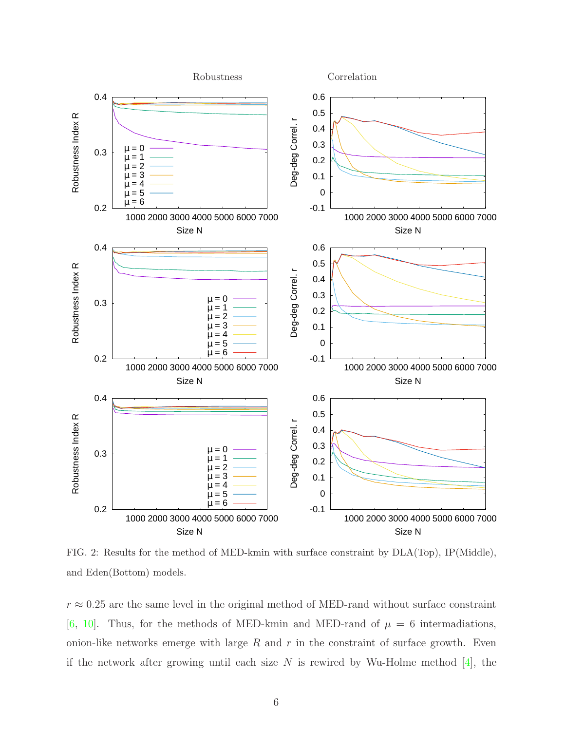

<span id="page-5-0"></span>FIG. 2: Results for the method of MED-kmin with surface constraint by DLA(Top), IP(Middle), and Eden(Bottom) models.

 $r \approx 0.25$  are the same level in the original method of MED-rand without surface constraint [\[6](#page-9-5), [10](#page-10-2)]. Thus, for the methods of MED-kmin and MED-rand of  $\mu = 6$  intermadiations, onion-like networks emerge with large  $R$  and  $r$  in the constraint of surface growth. Even if the network after growing until each size  $N$  is rewired by Wu-Holme method [\[4\]](#page-9-3), the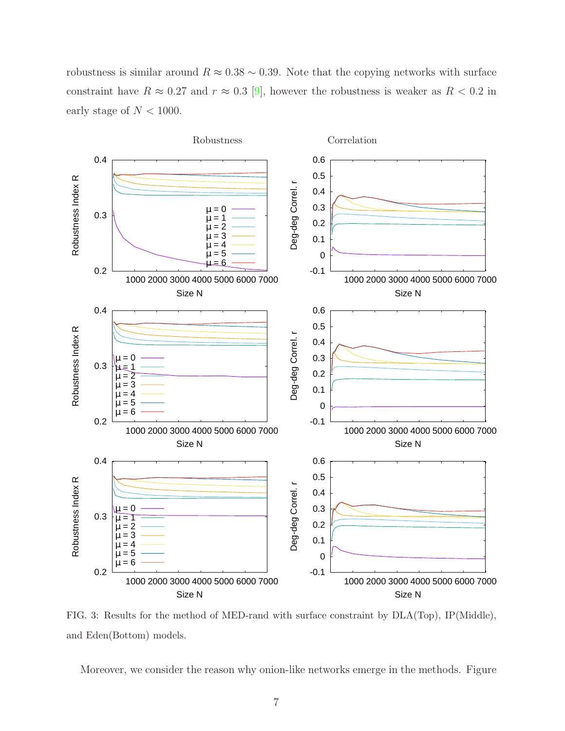robustness is similar around  $R \approx 0.38 \sim 0.39$ . Note that the copying networks with surface constraint have  $R \approx 0.27$  and  $r \approx 0.3$  [\[9\]](#page-10-1), however the robustness is weaker as  $R < 0.2$  in early stage of  $N < 1000$ .



<span id="page-6-0"></span>FIG. 3: Results for the method of MED-rand with surface constraint by DLA(Top), IP(Middle), and Eden(Bottom) models.

Moreover, we consider the reason why onion-like networks emerge in the methods. Figure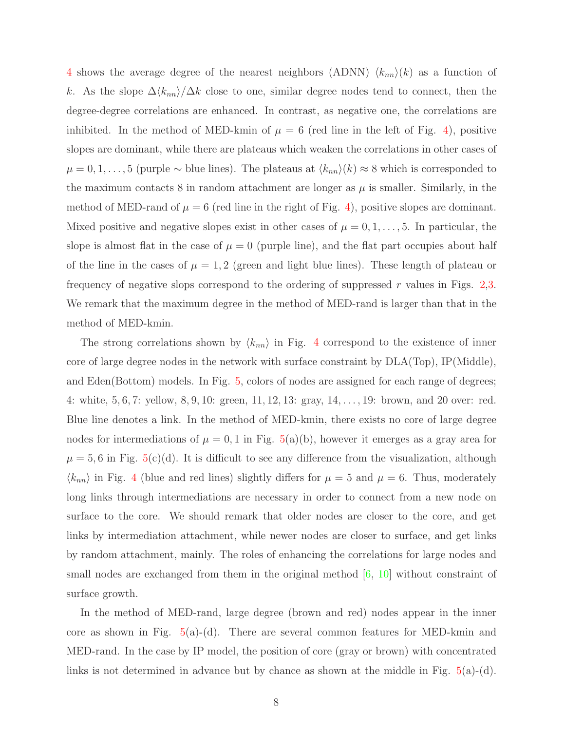[4](#page-8-0) shows the average degree of the nearest neighbors (ADNN)  $\langle k_{nn} \rangle(k)$  as a function of k. As the slope  $\Delta\langle k_{nn}\rangle/\Delta k$  close to one, similar degree nodes tend to connect, then the degree-degree correlations are enhanced. In contrast, as negative one, the correlations are inhibited. In the method of MED-kmin of  $\mu = 6$  (red line in the left of Fig. [4\)](#page-8-0), positive slopes are dominant, while there are plateaus which weaken the correlations in other cases of  $\mu = 0, 1, \ldots, 5$  (purple ~ blue lines). The plateaus at  $\langle k_{nn} \rangle(k) \approx 8$  which is corresponded to the maximum contacts 8 in random attachment are longer as  $\mu$  is smaller. Similarly, in the method of MED-rand of  $\mu = 6$  (red line in the right of Fig. [4\)](#page-8-0), positive slopes are dominant. Mixed positive and negative slopes exist in other cases of  $\mu = 0, 1, \ldots, 5$ . In particular, the slope is almost flat in the case of  $\mu = 0$  (purple line), and the flat part occupies about half of the line in the cases of  $\mu = 1, 2$  (green and light blue lines). These length of plateau or frequency of negative slops correspond to the ordering of suppressed  $r$  values in Figs. [2,](#page-5-0)[3.](#page-6-0) We remark that the maximum degree in the method of MED-rand is larger than that in the method of MED-kmin.

The strong correlations shown by  $\langle k_{nn} \rangle$  in Fig. [4](#page-8-0) correspond to the existence of inner core of large degree nodes in the network with surface constraint by DLA(Top), IP(Middle), and Eden(Bottom) models. In Fig. [5,](#page-11-0) colors of nodes are assigned for each range of degrees; 4: white, 5, 6, 7: yellow, 8, 9, 10: green, 11, 12, 13: gray, 14, . . . , 19: brown, and 20 over: red. Blue line denotes a link. In the method of MED-kmin, there exists no core of large degree nodes for intermediations of  $\mu = 0, 1$  in Fig. [5\(](#page-11-0)a)(b), however it emerges as a gray area for  $\mu = 5, 6$  in Fig. [5\(](#page-11-0)c)(d). It is difficult to see any difference from the visualization, although  $\langle k_{nn} \rangle$  in Fig. [4](#page-8-0) (blue and red lines) slightly differs for  $\mu = 5$  and  $\mu = 6$ . Thus, moderately long links through intermediations are necessary in order to connect from a new node on surface to the core. We should remark that older nodes are closer to the core, and get links by intermediation attachment, while newer nodes are closer to surface, and get links by random attachment, mainly. The roles of enhancing the correlations for large nodes and small nodes are exchanged from them in the original method  $[6, 10]$  $[6, 10]$  without constraint of surface growth.

In the method of MED-rand, large degree (brown and red) nodes appear in the inner core as shown in Fig.  $5(a)-(d)$  $5(a)-(d)$ . There are several common features for MED-kmin and MED-rand. In the case by IP model, the position of core (gray or brown) with concentrated links is not determined in advance but by chance as shown at the middle in Fig.  $5(a)-(d)$  $5(a)-(d)$ .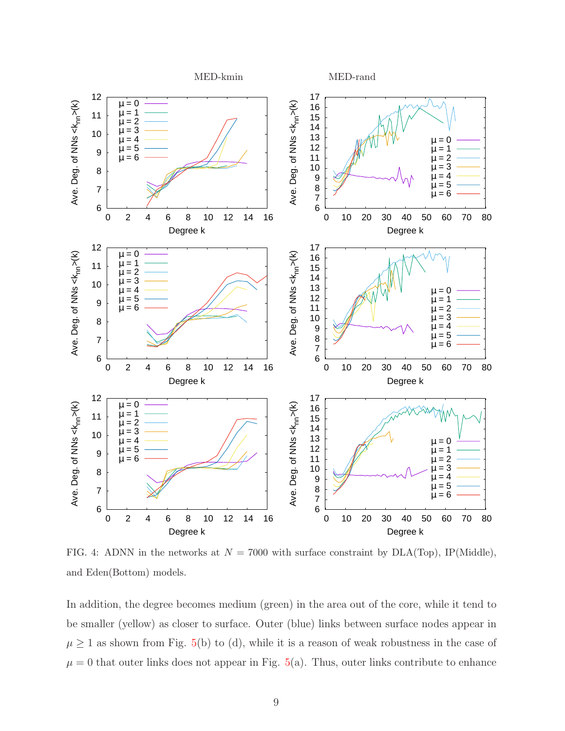

<span id="page-8-0"></span>FIG. 4: ADNN in the networks at  $N = 7000$  with surface constraint by  $DLA(Top)$ , IP(Middle), and Eden(Bottom) models.

In addition, the degree becomes medium (green) in the area out of the core, while it tend to be smaller (yellow) as closer to surface. Outer (blue) links between surface nodes appear in  $\mu \geq 1$  as shown from Fig. [5\(](#page-11-0)b) to (d), while it is a reason of weak robustness in the case of  $\mu = 0$  that outer links does not appear in Fig. [5\(](#page-11-0)a). Thus, outer links contribute to enhance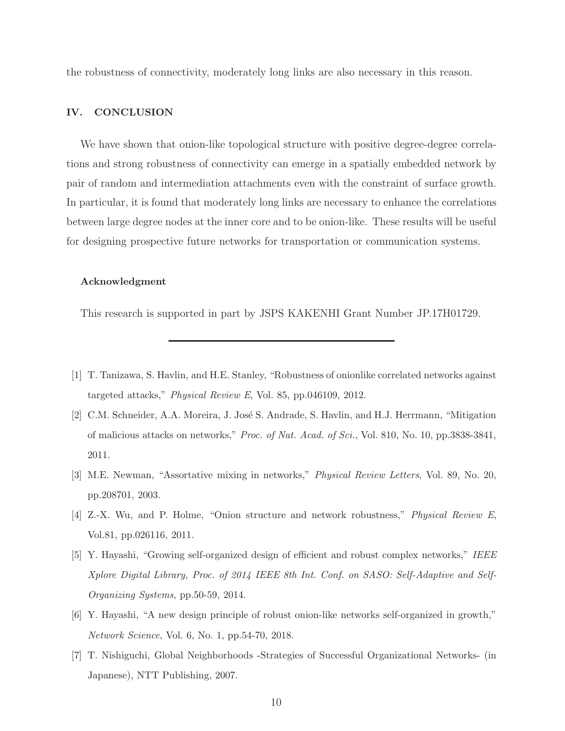the robustness of connectivity, moderately long links are also necessary in this reason.

## IV. CONCLUSION

We have shown that onion-like topological structure with positive degree-degree correlations and strong robustness of connectivity can emerge in a spatially embedded network by pair of random and intermediation attachments even with the constraint of surface growth. In particular, it is found that moderately long links are necessary to enhance the correlations between large degree nodes at the inner core and to be onion-like. These results will be useful for designing prospective future networks for transportation or communication systems.

# Acknowledgment

This research is supported in part by JSPS KAKENHI Grant Number JP.17H01729.

- <span id="page-9-0"></span>[1] T. Tanizawa, S. Havlin, and H.E. Stanley, "Robustness of onionlike correlated networks against targeted attacks," *Physical Review E*, Vol. 85, pp.046109, 2012.
- <span id="page-9-1"></span>[2] C.M. Schneider, A.A. Moreira, J. José S. Andrade, S. Havlin, and H.J. Herrmann, "Mitigation" of malicious attacks on networks," *Proc. of Nat. Acad. of Sci.*, Vol. 810, No. 10, pp.3838-3841, 2011.
- <span id="page-9-2"></span>[3] M.E. Newman, "Assortative mixing in networks," *Physical Review Letters*, Vol. 89, No. 20, pp.208701, 2003.
- <span id="page-9-3"></span>[4] Z.-X. Wu, and P. Holme, "Onion structure and network robustness," *Physical Review E*, Vol.81, pp.026116, 2011.
- <span id="page-9-4"></span>[5] Y. Hayashi, "Growing self-organized design of efficient and robust complex networks," *IEEE Xplore Digital Library, Proc. of 2014 IEEE 8th Int. Conf. on SASO: Self-Adaptive and Self-Organizing Systems*, pp.50-59, 2014.
- <span id="page-9-5"></span>[6] Y. Hayashi, "A new design principle of robust onion-like networks self-organized in growth," *Network Science*, Vol. 6, No. 1, pp.54-70, 2018.
- <span id="page-9-6"></span>[7] T. Nishiguchi, Global Neighborhoods -Strategies of Successful Organizational Networks- (in Japanese), NTT Publishing, 2007.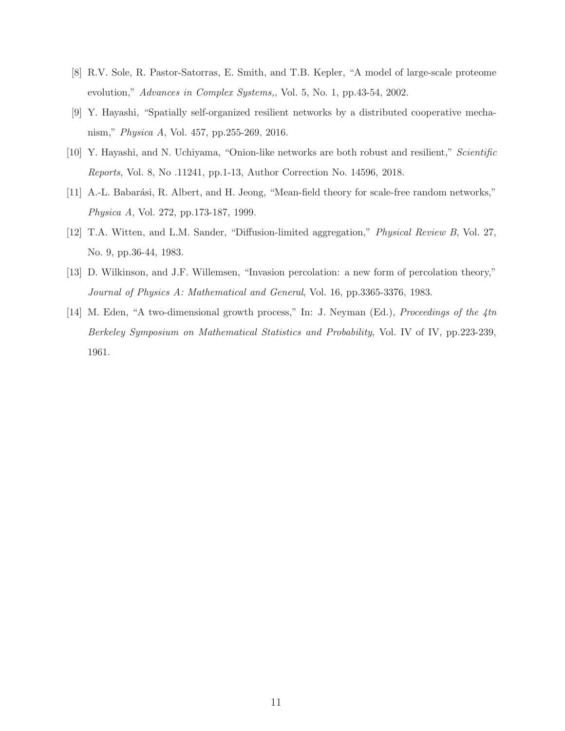- <span id="page-10-0"></span>[8] R.V. Sole, R. Pastor-Satorras, E. Smith, and T.B. Kepler, "A model of large-scale proteome evolution," *Advances in Complex Systems,*, Vol. 5, No. 1, pp.43-54, 2002.
- <span id="page-10-1"></span>[9] Y. Hayashi, "Spatially self-organized resilient networks by a distributed cooperative mechanism," *Physica A*, Vol. 457, pp.255-269, 2016.
- <span id="page-10-2"></span>[10] Y. Hayashi, and N. Uchiyama, "Onion-like networks are both robust and resilient," *Scientific Reports*, Vol. 8, No .11241, pp.1-13, Author Correction No. 14596, 2018.
- <span id="page-10-3"></span>[11] A.-L. Babarási, R. Albert, and H. Jeong, "Mean-field theory for scale-free random networks," *Physica A*, Vol. 272, pp.173-187, 1999.
- <span id="page-10-4"></span>[12] T.A. Witten, and L.M. Sander, "Diffusion-limited aggregation," *Physical Review B*, Vol. 27, No. 9, pp.36-44, 1983.
- <span id="page-10-5"></span>[13] D. Wilkinson, and J.F. Willemsen, "Invasion percolation: a new form of percolation theory," *Journal of Physics A: Mathematical and General*, Vol. 16, pp.3365-3376, 1983.
- <span id="page-10-6"></span>[14] M. Eden, "A two-dimensional growth process," In: J. Neyman (Ed.), *Proceedings of the 4tn Berkeley Symposium on Mathematical Statistics and Probability*, Vol. IV of IV, pp.223-239, 1961.